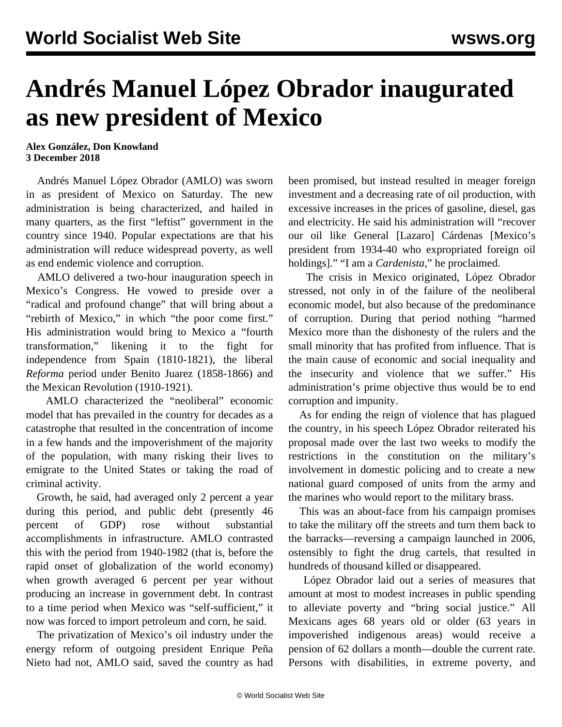## **Andrés Manuel López Obrador inaugurated as new president of Mexico**

## **Alex González, Don Knowland 3 December 2018**

 Andrés Manuel López Obrador (AMLO) was sworn in as president of Mexico on Saturday. The new administration is being characterized, and hailed in many quarters, as the first "leftist" government in the country since 1940. Popular expectations are that his administration will reduce widespread poverty, as well as end endemic violence and corruption.

 AMLO delivered a two-hour inauguration speech in Mexico's Congress. He vowed to preside over a "radical and profound change" that will bring about a "rebirth of Mexico," in which "the poor come first." His administration would bring to Mexico a "fourth transformation," likening it to the fight for independence from Spain (1810-1821), the liberal *Reforma* period under Benito Juarez (1858-1866) and the Mexican Revolution (1910-1921).

 AMLO characterized the "neoliberal" economic model that has prevailed in the country for decades as a catastrophe that resulted in the concentration of income in a few hands and the impoverishment of the majority of the population, with many risking their lives to emigrate to the United States or taking the road of criminal activity.

 Growth, he said, had averaged only 2 percent a year during this period, and public debt (presently 46 percent of GDP) rose without substantial accomplishments in infrastructure. AMLO contrasted this with the period from 1940-1982 (that is, before the rapid onset of globalization of the world economy) when growth averaged 6 percent per year without producing an increase in government debt. In contrast to a time period when Mexico was "self-sufficient," it now was forced to import petroleum and corn, he said.

 The privatization of Mexico's oil industry under the energy reform of outgoing president Enrique Peña Nieto had not, AMLO said, saved the country as had been promised, but instead resulted in meager foreign investment and a decreasing rate of oil production, with excessive increases in the prices of gasoline, diesel, gas and electricity. He said his administration will "recover our oil like General [Lazaro] Cárdenas [Mexico's president from 1934-40 who expropriated foreign oil holdings]." "I am a *Cardenista*," he proclaimed.

 The crisis in Mexico originated, López Obrador stressed, not only in of the failure of the neoliberal economic model, but also because of the predominance of corruption. During that period nothing "harmed Mexico more than the dishonesty of the rulers and the small minority that has profited from influence. That is the main cause of economic and social inequality and the insecurity and violence that we suffer." His administration's prime objective thus would be to end corruption and impunity.

 As for ending the reign of violence that has plagued the country, in his speech López Obrador reiterated his [proposal](/en/articles/2018/12/01/amlo-d01.html) made over the last two weeks to modify the restrictions in the constitution on the military's involvement in domestic policing and to create a new national guard composed of units from the army and the marines who would report to the military brass.

 This was an about-face from his campaign promises to take the military off the streets and turn them back to the barracks—reversing a campaign launched in 2006, ostensibly to fight the drug cartels, that resulted in hundreds of thousand killed or disappeared.

 López Obrador laid out a series of measures that amount at most to modest increases in public spending to alleviate poverty and "bring social justice." All Mexicans ages 68 years old or older (63 years in impoverished indigenous areas) would receive a pension of 62 dollars a month—double the current rate. Persons with disabilities, in extreme poverty, and